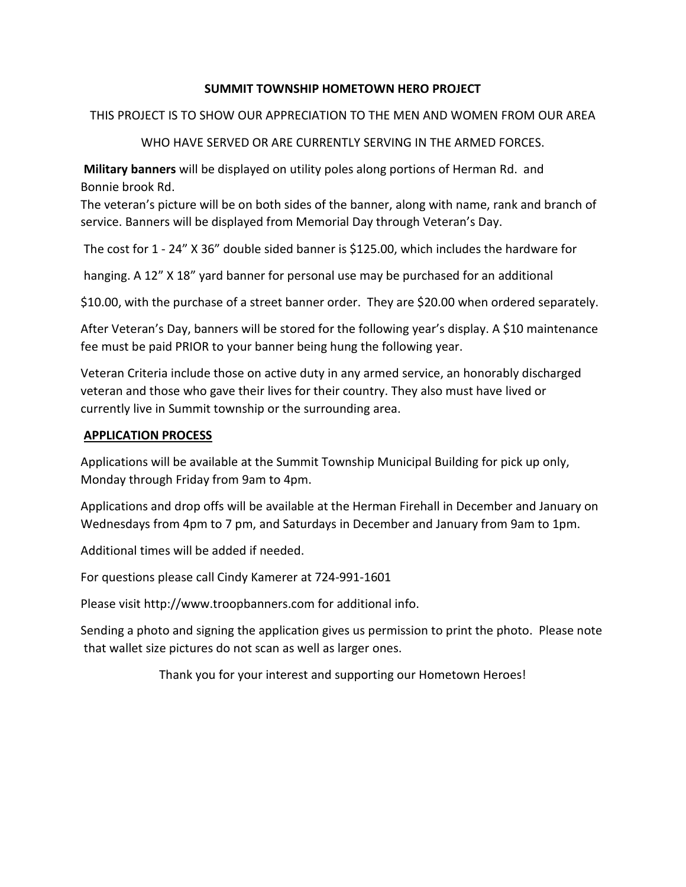# **SUMMIT TOWNSHIP HOMETOWN HERO PROJECT**

### THIS PROJECT IS TO SHOW OUR APPRECIATION TO THE MEN AND WOMEN FROM OUR AREA

WHO HAVE SERVED OR ARE CURRENTLY SERVING IN THE ARMED FORCES.

**Military banners** will be displayed on utility poles along portions of Herman Rd. and Bonnie brook Rd.

The veteran's picture will be on both sides of the banner, along with name, rank and branch of service. Banners will be displayed from Memorial Day through Veteran's Day.

The cost for 1 ‐ 24" X 36" double sided banner is \$125.00, which includes the hardware for

hanging. A 12" X 18" yard banner for personal use may be purchased for an additional

\$10.00, with the purchase of a street banner order. They are \$20.00 when ordered separately.

After Veteran's Day, banners will be stored for the following year's display. A \$10 maintenance fee must be paid PRIOR to your banner being hung the following year.

Veteran Criteria include those on active duty in any armed service, an honorably discharged veteran and those who gave their lives for their country. They also must have lived or currently live in Summit township or the surrounding area.

## **APPLICATION PROCESS**

Applications will be available at the Summit Township Municipal Building for pick up only, Monday through Friday from 9am to 4pm.

Applications and drop offs will be available at the Herman Firehall in December and January on Wednesdays from 4pm to 7 pm, and Saturdays in December and January from 9am to 1pm.

Additional times will be added if needed.

For questions please call Cindy Kamerer at 724-991-1601

Please visit http://www.troopbanners.com for additional info.

Sending a photo and signing the application gives us permission to print the photo. Please note that wallet size pictures do not scan as well as larger ones.

Thank you for your interest and supporting our Hometown Heroes!